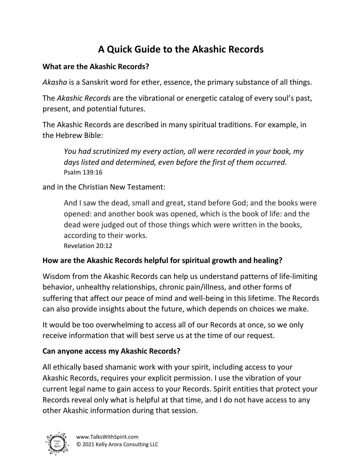# **A Quick Guide to the Akashic Records**

### **What are the Akashic Records?**

*Akasha* is a Sanskrit word for ether, essence, the primary substance of all things.

The *Akashic Records* are the vibrational or energetic catalog of every soul's past, present, and potential futures.

The Akashic Records are described in many spiritual traditions. For example, in the Hebrew Bible:

*You had scrutinized my every action, all were recorded in your book, my days listed and determined, even before the first of them occurred*. Psalm 139:16

and in the Christian New Testament:

And I saw the dead, small and great, stand before God; and the books were opened: and another book was opened, which is the book of life: and the dead were judged out of those things which were written in the books, according to their works. Revelation 20:12

### **How are the Akashic Records helpful for spiritual growth and healing?**

Wisdom from the Akashic Records can help us understand patterns of life-limiting behavior, unhealthy relationships, chronic pain/illness, and other forms of suffering that affect our peace of mind and well-being in this lifetime. The Records can also provide insights about the future, which depends on choices we make.

It would be too overwhelming to access all of our Records at once, so we only receive information that will best serve us at the time of our request.

### **Can anyone access my Akashic Records?**

All ethically based shamanic work with your spirit, including access to your Akashic Records, requires your explicit permission. I use the vibration of your current legal name to gain access to your Records. Spirit entities that protect your Records reveal only what is helpful at that time, and I do not have access to any other Akashic information during that session.

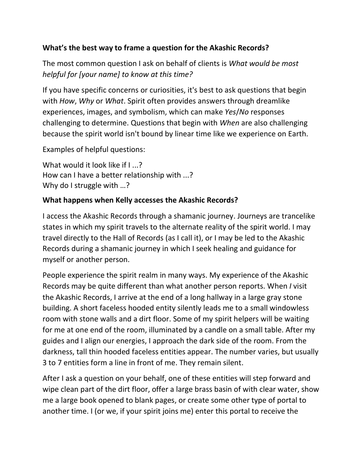#### **What's the best way to frame a question for the Akashic Records?**

The most common question I ask on behalf of clients is *What would be most helpful for [your name] to know at this time?* 

If you have specific concerns or curiosities, it's best to ask questions that begin with *How*, *Why* or *What*. Spirit often provides answers through dreamlike experiences, images, and symbolism, which can make *Yes*/*No* responses challenging to determine. Questions that begin with *When* are also challenging because the spirit world isn't bound by linear time like we experience on Earth.

Examples of helpful questions:

What would it look like if I ...? How can I have a better relationship with ...? Why do I struggle with ...?

#### **What happens when Kelly accesses the Akashic Records?**

I access the Akashic Records through a shamanic journey. Journeys are trancelike states in which my spirit travels to the alternate reality of the spirit world. I may travel directly to the Hall of Records (as I call it), or I may be led to the Akashic Records during a shamanic journey in which I seek healing and guidance for myself or another person.

People experience the spirit realm in many ways. My experience of the Akashic Records may be quite different than what another person reports. When *I* visit the Akashic Records, I arrive at the end of a long hallway in a large gray stone building. A short faceless hooded entity silently leads me to a small windowless room with stone walls and a dirt floor. Some of my spirit helpers will be waiting for me at one end of the room, illuminated by a candle on a small table. After my guides and I align our energies, I approach the dark side of the room. From the darkness, tall thin hooded faceless entities appear. The number varies, but usually 3 to 7 entities form a line in front of me. They remain silent.

After I ask a question on your behalf, one of these entities will step forward and wipe clean part of the dirt floor, offer a large brass basin of with clear water, show me a large book opened to blank pages, or create some other type of portal to another time. I (or we, if your spirit joins me) enter this portal to receive the